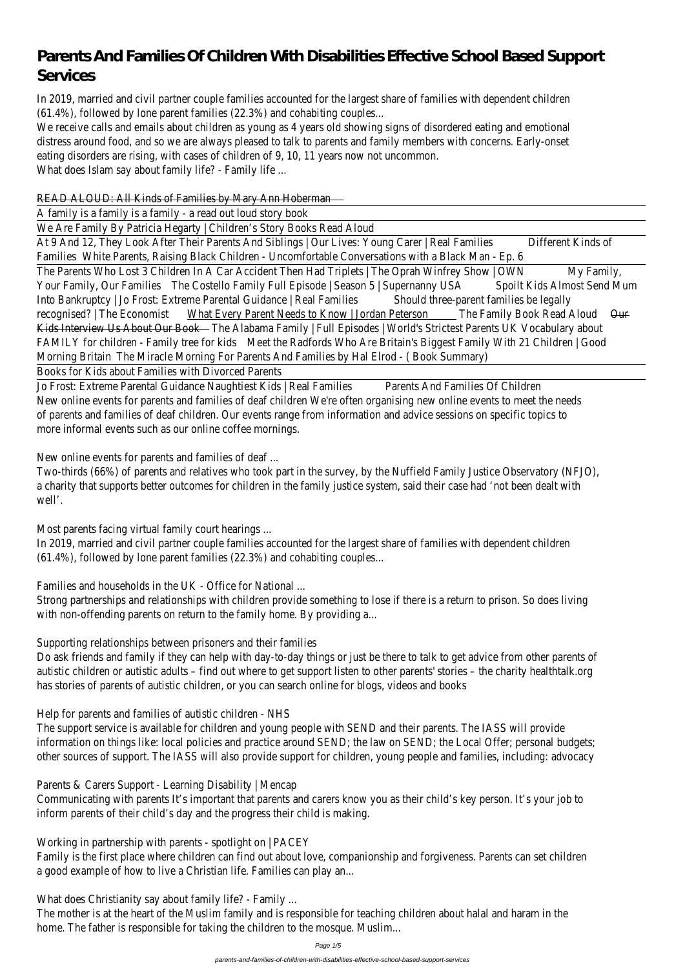# **Parents And Families Of Children With Disabilities Effective School Based Support Services**

In 2019, married and civil partner couple families accounted for the largest share of families  $(61.4\%)$ , followed by lone parent families  $(22.3\%)$  and coha

We receive calls and emails about children as young as 4 years old showing signs of disorder distress around food, and so we are always pleased to talk to parents and family members w eating disorders are rising, with cases of children of 9, 10, 11 years not What does Islam say about family life? - F

# READ ALOUD: All Kinds of Families by Mary Ann

A family is a family is a family - a read out loud

We Are Family By Patricia Hegarty | Children's Story Books

At 9 And 12, They Look After Their Parents And Siblings | Our Lives: Young Carer | Real Families Different Kinds Families White Parents, Raising Black Children - Uncomfortable Conversations with The Parents Who Lost 3 Children In A Car Accident Then Had Triplets | The Oprah Winfrey Show | OWNMy Fami Your Family, Our Families The Costello Family Full Episode | Season 5 | Supernanny USA Spoilt Kids Almost Send Into Bankruptcy | Jo Frost: Extreme Parental Guidance | Real Families Should three-parent families be recognised? | The Economist What Every Parent Needs to Know | Jordan Peterson The Family Book Read Aloud Our Kids Interview Us About Our Book The Alabama Family | Full Episodes | World's Strictest Parents UK FAMILY for children - Family tree for kids Meet the Radfords Who Are Britain's Biggest Family With 21 Morning Britain The Miracle Morning For Parents And Families by Hal Elrod - ( Books for Kids about Families with Divorce

Jo Frost: Extreme Parental Guidance Naughtiest Kids | Real Families Parents And Families Of C New online events for parents and families of deaf children We're often organising new online of of parents and families of deaf children. Our events range from information and advice sessions of more informal events such as our online coffe

New online events for parents and families

Two-thirds (66%) of parents and relatives who took part in the survey, by the Nuffield Family Ju a charity that supports better outcomes for children in the family justice system, said their case well

Most parents facing virtual family court

In 2019, married and civil partner couple families accounted for the largest share of families  $(61.4\%)$ , followed by lone parent families  $(22.3\%)$  and coha

Families and households in the UK - Office for

Strong partnerships and relationships with children provide something to lose if there is a retur with non-offending parents on return to the family home.

Supporting relationships between prisoners and

Do ask friends and family if they can help with day-to-day things or just be there to talk to get advice from other autistic children or autistic adults - find out where to get support listen to other parents' stories has stories of parents of autistic children, or you can search online for blog

Help for parents and families of autistic children  $\overline{\phantom{a}}$ 

The support service is available for children and young people with SEND and their paren

information on things like: local policies and practice around SEND; the law on SEND; the Local other sources of support. The IASS will also provide support for children, young people and fan

Parents & Carers Support - Learning Disability Communicating with parents It's important that parents and carers know you as their child's key inform parents of their child's day and the progress their

Working in partnership with parents - spotlight Family is the first place where children can find out about love, companionship and forgiveness. a good example of how to live a Christian life. Families

What does Christianity say about family life

The mother is at the heart of the Muslim family and is responsible for teaching children about home. The father is responsible for taking the children to the r

Page 1/5

parents-and-families-of-children-with-disabilities-effective-school-based-support-services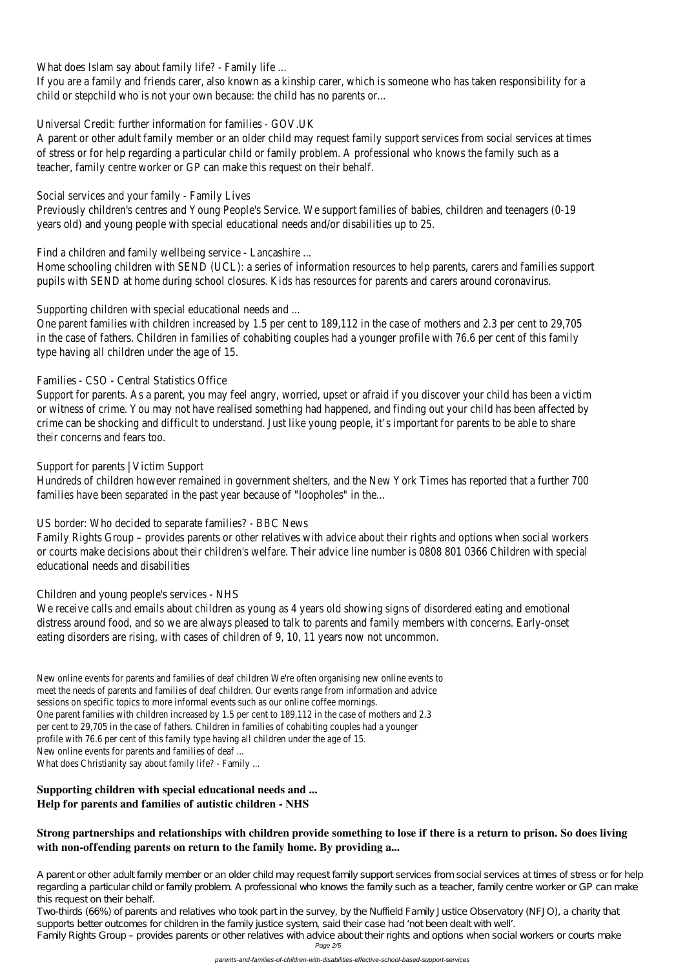What does Islam say about family life? - F

If you are a family and friends carer, also known as a kinship carer, which is someone who has child or stepchild who is not your own because: the child has

Universal Credit: further information for famil

A parent or other adult family member or an older child may request family support services from of stress or for help regarding a particular child or family problem. A professional who know teacher, family centre worker or GP can make this request

Social services and your family - Far

Previously children's centres and Young People's Service. We support families of babies, children years old) and young people with special educational needs and/or dis

Find a children and family wellbeing service - L

Home schooling children with SEND (UCL): a series of information resources to help parents, ca pupils with SEND at home during school closures. Kids has resources for parents and care

Supporting children with special educational represents and  $\alpha$ 

One parent families with children increased by 1.5 per cent to 189,112 in the case of mothers and 2.3 per cent to 189,112 in the case of mothers and 2.3 per cent to 2.3 per cent to 2.3 per cent to 2.3 per cent to 2.3 per c in the case of fathers. Children in families of cohabiting couples had a younger profile with 76 type having all children under the a

# Families - CSO - Central Statistic

Support for parents. As a parent, you may feel angry, worried, upset or afraid if you discover yo or witness of crime. You may not have realised something had happened, and finding out your c crime can be shocking and difficult to understand. Just like young people, it's important for particle to be a their concerns and fear

Support for parents  $\vert$  Victim

Hundreds of children however remained in government shelters, and the New York Times has reported that a function families have been separated in the past year because of "loopholes" in the...

US border: Who decided to separate families?

Family Rights Group – provides parents or other relatives with advice about their rights and options. or courts make decisions about their children's welfare. Their advice line number is 0808 801 O educational needs and disa

# Children and young people's servic

We receive calls and emails about children as young as 4 years old showing signs of disorder distress around food, and so we are always pleased to talk to parents and family members w eating disorders are rising, with cases of children of 9, 10, 11 years not

New online events for parents and families of deaf children We're often organising meet the needs of parents and families of deaf children. Our events range from in sessions on specific topics to more informal events such as our onlin One parent families with children increased by 1.5 per cent to 189,112 in the case per cent to 29,705 in the case of fathers. Children in families of cohabiting co profile with 76.6 per cent of this family type having all children under New online events for parents and families What does Christianity say about family life?

A parent or other adult family member or an older child may request family support services from social services at times of stress or for help regarding a particular child or family problem. A professional who knows the family such as a teacher, family centre worker or GP can make this request on their behalf.

**Supporting children with special educational needs and ... Help for parents and families of autistic children - NHS**

# **Strong partnerships and relationships with children provide something to lose if there is a return to prison. So does living with non-offending parents on return to the family home. By providing a...**

Two-thirds (66%) of parents and relatives who took part in the survey, by the Nuffield Family Justice Observatory (NFJO), a charity that supports better outcomes for children in the family justice system, said their case had 'not been dealt with well'.

Family Rights Group – provides parents or other relatives with advice about their rights and options when social workers or courts make Page 2/5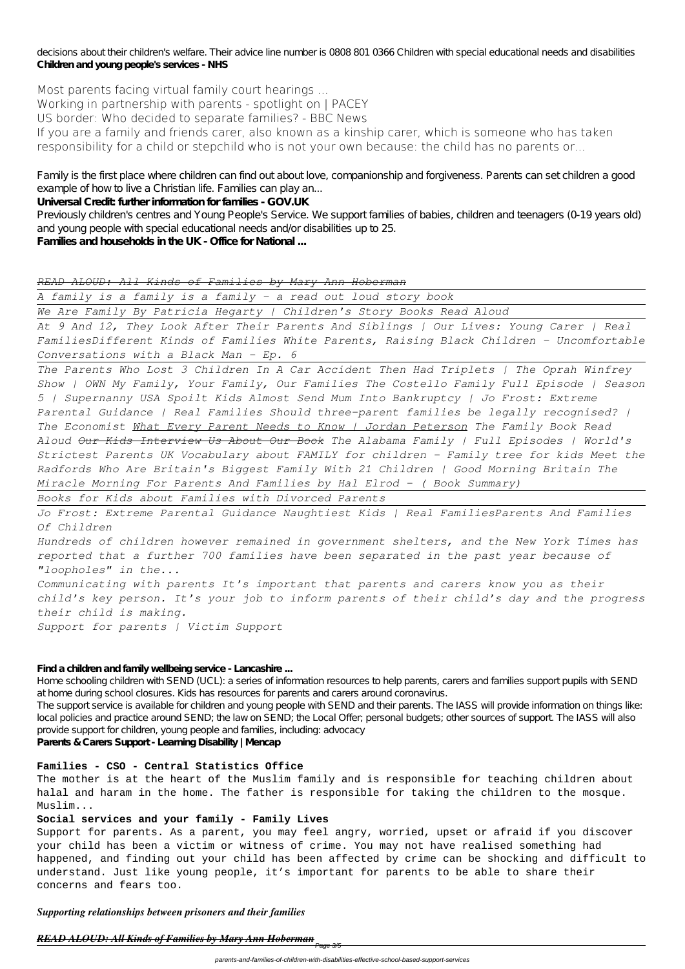decisions about their children's welfare. Their advice line number is 0808 801 0366 Children with special educational needs and disabilities **Children and young people's services - NHS**

**Most parents facing virtual family court hearings ... Working in partnership with parents - spotlight on | PACEY US border: Who decided to separate families? - BBC News** If you are a family and friends carer, also known as a kinship carer, which is someone who has taken responsibility for a child or stepchild who is not your own because: the child has no parents or...

Family is the first place where children can find out about love, companionship and forgiveness. Parents can set children a good example of how to live a Christian life. Families can play an...

**Universal Credit: further information for families - GOV.UK**

Previously children's centres and Young People's Service. We support families of babies, children and teenagers (0-19 years old) and young people with special educational needs and/or disabilities up to 25.

**Families and households in the UK - Office for National ...**

*READ ALOUD: All Kinds of Families by Mary Ann Hoberman*

*A family is a family is a family - a read out loud story book*

*We Are Family By Patricia Hegarty | Children's Story Books Read Aloud*

*At 9 And 12, They Look After Their Parents And Siblings | Our Lives: Young Carer | Real FamiliesDifferent Kinds of Families White Parents, Raising Black Children - Uncomfortable Conversations with a Black Man - Ep. 6*

*The Parents Who Lost 3 Children In A Car Accident Then Had Triplets | The Oprah Winfrey Show | OWN My Family, Your Family, Our Families The Costello Family Full Episode | Season 5 | Supernanny USA Spoilt Kids Almost Send Mum Into Bankruptcy | Jo Frost: Extreme Parental Guidance | Real Families Should three-parent families be legally recognised? | The Economist What Every Parent Needs to Know | Jordan Peterson The Family Book Read Aloud Our Kids Interview Us About Our Book The Alabama Family | Full Episodes | World's Strictest Parents UK Vocabulary about FAMILY for children - Family tree for kids Meet the Radfords Who Are Britain's Biggest Family With 21 Children | Good Morning Britain The Miracle Morning For Parents And Families by Hal Elrod - ( Book Summary)*

*Books for Kids about Families with Divorced Parents*

*Jo Frost: Extreme Parental Guidance Naughtiest Kids | Real FamiliesParents And Families Of Children*

*Hundreds of children however remained in government shelters, and the New York Times has reported that a further 700 families have been separated in the past year because of "loopholes" in the...*

*Communicating with parents It's important that parents and carers know you as their child's key person. It's your job to inform parents of their child's day and the progress their child is making.*

*Support for parents | Victim Support*

#### **Find a children and family wellbeing service - Lancashire ...**

Home schooling children with SEND (UCL): a series of information resources to help parents, carers and families support pupils with SEND at home during school closures. Kids has resources for parents and carers around coronavirus.

The support service is available for children and young people with SEND and their parents. The IASS will provide information on things like: local policies and practice around SEND; the law on SEND; the Local Offer; personal budgets; other sources of support. The IASS will also provide support for children, young people and families, including: advocacy **Parents & Carers Support - Learning Disability | Mencap**

#### **Families - CSO - Central Statistics Office**

The mother is at the heart of the Muslim family and is responsible for teaching children about halal and haram in the home. The father is responsible for taking the children to the mosque. Muslim...

#### **Social services and your family - Family Lives**

Support for parents. As a parent, you may feel angry, worried, upset or afraid if you discover your child has been a victim or witness of crime. You may not have realised something had happened, and finding out your child has been affected by crime can be shocking and difficult to understand. Just like young people, it's important for parents to be able to share their concerns and fears too.

*Supporting relationships between prisoners and their families*

#### *READ ALOUD: All Kinds of Families by Mary Ann Hoberman*

<del>Page 3/5</del>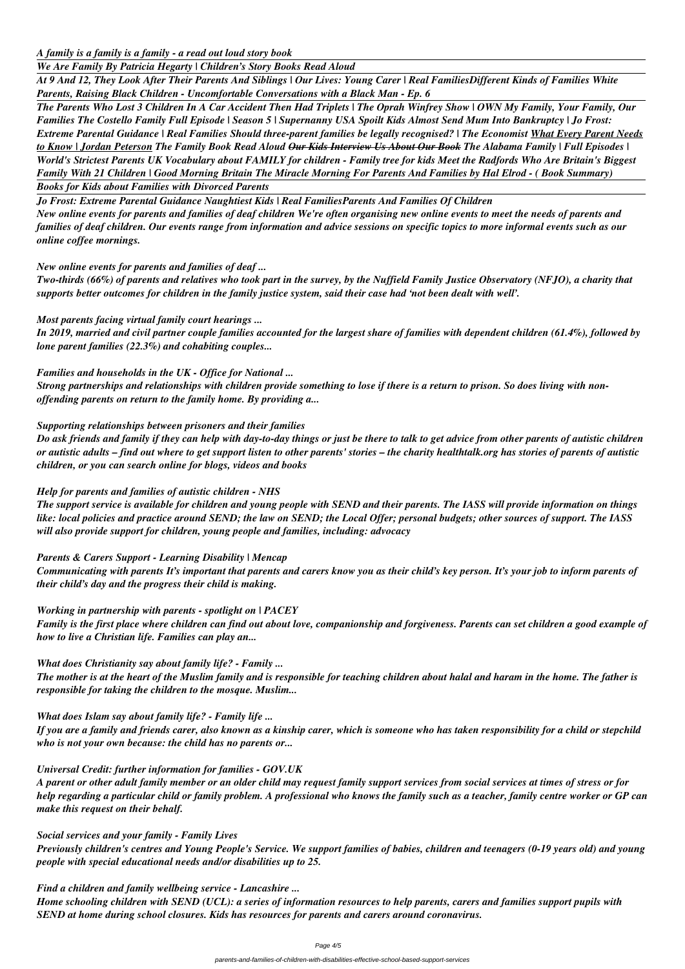*A family is a family is a family - a read out loud story book*

*We Are Family By Patricia Hegarty | Children's Story Books Read Aloud*

*At 9 And 12, They Look After Their Parents And Siblings | Our Lives: Young Carer | Real FamiliesDifferent Kinds of Families White Parents, Raising Black Children - Uncomfortable Conversations with a Black Man - Ep. 6*

*The Parents Who Lost 3 Children In A Car Accident Then Had Triplets | The Oprah Winfrey Show | OWN My Family, Your Family, Our Families The Costello Family Full Episode | Season 5 | Supernanny USA Spoilt Kids Almost Send Mum Into Bankruptcy | Jo Frost: Extreme Parental Guidance | Real Families Should three-parent families be legally recognised? | The Economist What Every Parent Needs to Know | Jordan Peterson The Family Book Read Aloud Our Kids Interview Us About Our Book The Alabama Family | Full Episodes | World's Strictest Parents UK Vocabulary about FAMILY for children - Family tree for kids Meet the Radfords Who Are Britain's Biggest Family With 21 Children | Good Morning Britain The Miracle Morning For Parents And Families by Hal Elrod - ( Book Summary)*

*Books for Kids about Families with Divorced Parents*

*Jo Frost: Extreme Parental Guidance Naughtiest Kids | Real FamiliesParents And Families Of Children*

*New online events for parents and families of deaf children We're often organising new online events to meet the needs of parents and families of deaf children. Our events range from information and advice sessions on specific topics to more informal events such as our online coffee mornings.*

*New online events for parents and families of deaf ...*

*Two-thirds (66%) of parents and relatives who took part in the survey, by the Nuffield Family Justice Observatory (NFJO), a charity that supports better outcomes for children in the family justice system, said their case had 'not been dealt with well'.*

*Most parents facing virtual family court hearings ...*

*In 2019, married and civil partner couple families accounted for the largest share of families with dependent children (61.4%), followed by lone parent families (22.3%) and cohabiting couples...*

## *Families and households in the UK - Office for National ...*

*Strong partnerships and relationships with children provide something to lose if there is a return to prison. So does living with nonoffending parents on return to the family home. By providing a...*

*Supporting relationships between prisoners and their families*

*Do ask friends and family if they can help with day-to-day things or just be there to talk to get advice from other parents of autistic children or autistic adults – find out where to get support listen to other parents' stories – the charity healthtalk.org has stories of parents of autistic children, or you can search online for blogs, videos and books*

# *Help for parents and families of autistic children - NHS*

*The support service is available for children and young people with SEND and their parents. The IASS will provide information on things like: local policies and practice around SEND; the law on SEND; the Local Offer; personal budgets; other sources of support. The IASS will also provide support for children, young people and families, including: advocacy*

*Parents & Carers Support - Learning Disability | Mencap*

*Communicating with parents It's important that parents and carers know you as their child's key person. It's your job to inform parents of their child's day and the progress their child is making.*

*Working in partnership with parents - spotlight on | PACEY Family is the first place where children can find out about love, companionship and forgiveness. Parents can set children a good example of how to live a Christian life. Families can play an...*

*What does Christianity say about family life? - Family ... The mother is at the heart of the Muslim family and is responsible for teaching children about halal and haram in the home. The father is responsible for taking the children to the mosque. Muslim...*

# *What does Islam say about family life? - Family life ...*

*If you are a family and friends carer, also known as a kinship carer, which is someone who has taken responsibility for a child or stepchild*

*who is not your own because: the child has no parents or...*

#### *Universal Credit: further information for families - GOV.UK*

*A parent or other adult family member or an older child may request family support services from social services at times of stress or for help regarding a particular child or family problem. A professional who knows the family such as a teacher, family centre worker or GP can make this request on their behalf.*

#### *Social services and your family - Family Lives*

*Previously children's centres and Young People's Service. We support families of babies, children and teenagers (0-19 years old) and young people with special educational needs and/or disabilities up to 25.*

#### *Find a children and family wellbeing service - Lancashire ...*

*Home schooling children with SEND (UCL): a series of information resources to help parents, carers and families support pupils with SEND at home during school closures. Kids has resources for parents and carers around coronavirus.*